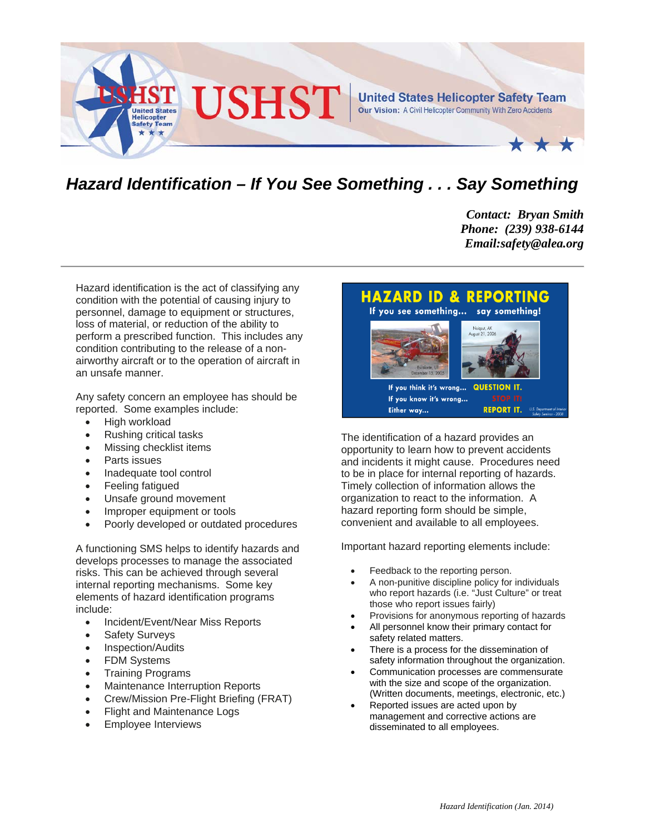

## *Hazard Identification – If You See Something . . . Say Something*

*Contact: Bryan Smith Phone: (239) 938-6144 Email:safety@alea.org* 

Hazard identification is the act of classifying any condition with the potential of causing injury to personnel, damage to equipment or structures, loss of material, or reduction of the ability to perform a prescribed function. This includes any condition contributing to the release of a nonairworthy aircraft or to the operation of aircraft in an unsafe manner.

Any safety concern an employee has should be reported. Some examples include:

- High workload
- Rushing critical tasks
- Missing checklist items
- Parts issues
- Inadequate tool control
- Feeling fatigued
- Unsafe ground movement
- Improper equipment or tools
- Poorly developed or outdated procedures

A functioning SMS helps to identify hazards and develops processes to manage the associated risks. This can be achieved through several internal reporting mechanisms. Some key elements of hazard identification programs include:

- Incident/Event/Near Miss Reports
- Safety Surveys
- Inspection/Audits
- FDM Systems
- Training Programs
- Maintenance Interruption Reports
- Crew/Mission Pre-Flight Briefing (FRAT)
- Flight and Maintenance Logs
- Employee Interviews



The identification of a hazard provides an opportunity to learn how to prevent accidents and incidents it might cause. Procedures need to be in place for internal reporting of hazards. Timely collection of information allows the organization to react to the information. A hazard reporting form should be simple, convenient and available to all employees.

Important hazard reporting elements include:

- Feedback to the reporting person.
- A non-punitive discipline policy for individuals who report hazards (i.e. "Just Culture" or treat those who report issues fairly)
- Provisions for anonymous reporting of hazards
- All personnel know their primary contact for safety related matters.
- There is a process for the dissemination of safety information throughout the organization.
- Communication processes are commensurate with the size and scope of the organization. (Written documents, meetings, electronic, etc.)
- Reported issues are acted upon by management and corrective actions are disseminated to all employees.